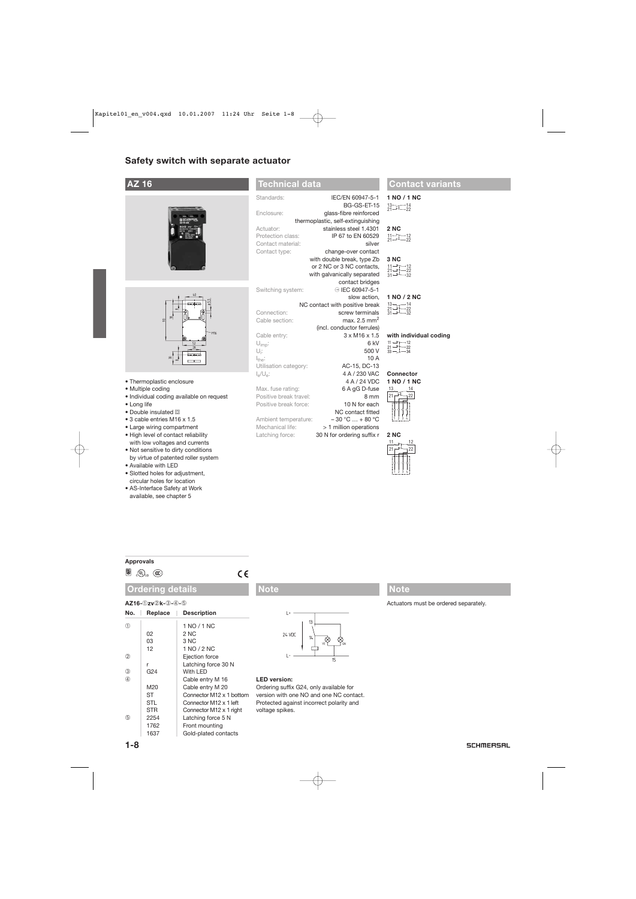# **Safety switch with separate actuator**

# **AZ 16**





- Thermoplastic enclosure
- Multiple coding
- Individual coding available on request
- Long life
- $\bullet$  Double insulated  $\Box$
- 3 cable entries M16 x 1.5
- Large wiring compartment
- High level of contact reliability with low voltages and currents
- Not sensitive to dirty conditions by virtue of patented roller system
- Available with LED
- Slotted holes for adjustment, circular holes for location
- AS-Interface Safety at Work available, see chapter 5

## **Technical data**

| Standards:                     | IEC/EN 60947-5-1                  |  |  |
|--------------------------------|-----------------------------------|--|--|
|                                | BG-GS-ET-15                       |  |  |
| Enclosure:                     | glass-fibre reinforced            |  |  |
|                                | thermoplastic, self-extinguishing |  |  |
| Actuator:                      | stainless steel 1.4301            |  |  |
| Protection class:              | IP 67 to EN 60529                 |  |  |
| Contact material:              | silver                            |  |  |
| Contact type:                  | change-over contact               |  |  |
|                                | with double break, type Zb        |  |  |
|                                | or 2 NC or 3 NC contacts,         |  |  |
|                                | with galvanically separated       |  |  |
|                                | contact bridges                   |  |  |
| Switching system:              | ⊖ IEC 60947-5-1                   |  |  |
|                                | slow action.                      |  |  |
| NC contact with positive break |                                   |  |  |
| Connection:                    | screw terminals                   |  |  |
| Cable section:                 | max. $2.5$ mm <sup>2</sup>        |  |  |
|                                | (incl. conductor ferrules)        |  |  |
| Cable entry:                   | $3 \times M16 \times 1.5$         |  |  |
| $U_{\text{imp}}$ :             | 6 kV                              |  |  |
| U <sub>i</sub> :               | 500 V                             |  |  |
| $I_{the}$ :                    | 10A                               |  |  |
| Utilisation category:          | AC-15, DC-13                      |  |  |
| $J_{\alpha}/U_{\alpha}$        | 4 A / 230 VAC                     |  |  |
|                                | 4 A / 24 VDC                      |  |  |
| Max. fuse rating:              | 6 A gG D-fuse                     |  |  |
| Positive break travel:         | 8 mm                              |  |  |
| Positive break force:          | 10 N for each                     |  |  |
|                                | NC contact fitted                 |  |  |
| Ambient temperature:           | $-30 °C  + 80 °C$                 |  |  |

Mechanical life:  $> 1$  million operations<br>Latching force:  $30$  N for ordering suffix r

## **Contact variants**

#### **1 NO / 1 NC**  1 2 3 4 21 13 22 14

**2 NC** 

30 N for ordering suffix r



#### **Approvals**

 $\circledast$   $\circledast$   $\circledast$ 

## **Ordering details**

### **AZ16-**➀**zv**➁**k-**➂**-**➃**-**➄

| No.            | Replace    | <b>Description</b>       |
|----------------|------------|--------------------------|
| (T)            |            | 1 NO / 1 NC              |
|                | 02         | 2 NC                     |
|                | 03         | 3 NC                     |
|                | 12         | 1 NO / 2 NC              |
| $^{\circledR}$ |            | Ejection force           |
|                | r          | Latching force 30 N      |
| 3              | G24        | With LED                 |
| $\circled{4}$  |            | Cable entry M 16         |
|                | M20        | Cable entry M 20         |
|                | ST         | Connector M12 x 1 bottom |
|                | <b>STL</b> | Connector M12 x 1 left   |
|                | <b>STR</b> | Connector M12 x 1 right  |
| (5)            | 2254       | Latching force 5 N       |
|                | 1762       | Front mounting           |
|                | 1637       | Gold-plated contacts     |

 $C \in$ 





## **LED version:**

Ordering suffix G24, only available for version with one NO and one NC contact. Protected against incorrect polarity and voltage spikes.

## **Note**

Actuators must be ordered separately.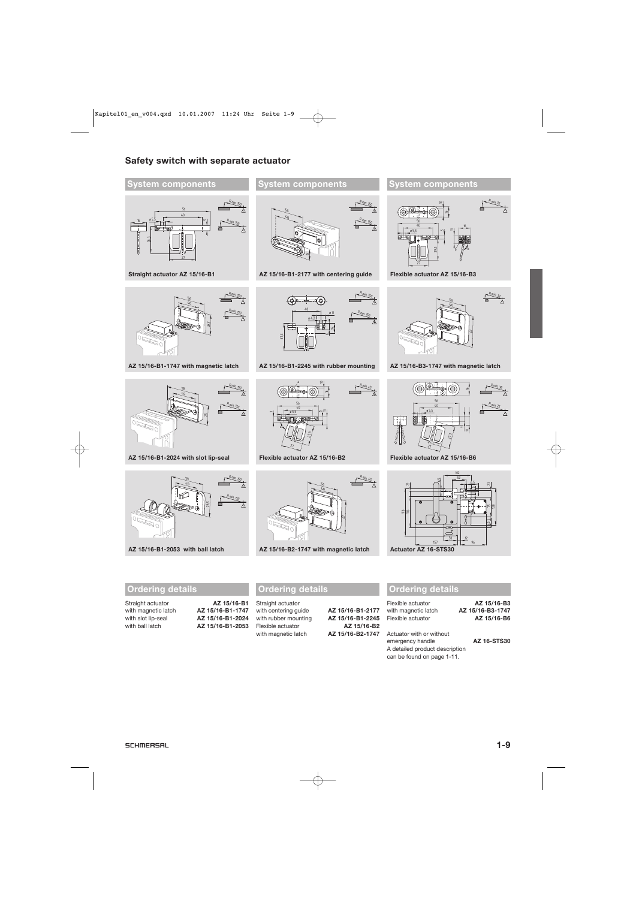# **Safety switch with separate actuator**

## **System components**



**Straight actuator AZ 15/16-B1** 



**AZ 15/16-B1-1747 with magnetic latch**



**AZ 15/16-B1-2024 with slot lip-seal**



**AZ 15/16-B1-2053 with ball latch**

## **Ordering details**

| Straight actuator   |  |  |
|---------------------|--|--|
| with magnetic latch |  |  |
| with slot lip-seal  |  |  |
| with ball latch     |  |  |
|                     |  |  |

| Straight actuator   | AZ 15/16-B1      |
|---------------------|------------------|
| with magnetic latch | AZ 15/16-B1-1747 |
| with slot lip-seal  | AZ 15/16-B1-2024 |
| with ball latch     | AZ 15/16-B1-2053 |

## **System components**



**AZ 15/16-B1-2177 with centering guide** 



**AZ 15/16-B1-2245 with rubber mounting**



**Flexible actuator AZ 15/16-B2** 



**AZ 15/16-B2-1747 with magnetic latch** 

# **Ordering details**

Straight actuator with centering guide **AZ 15/16-B1-2177** with rubber mounting **AZ 15/16-B1-2245**<br>Flexible actuator **AZ 15/16-B2** with magnetic latch **AZ 15/16-B2-1747**

Flexible actuator **AZ 15/16-B2**

Flexible actuator **AZ 15/16-B3** with magnetic latch **AZ 15/16-B3-1747** Flexible actuator **AZ 15/16-B6**

Actuator with or without emergency handle **AZ 16-STS30** A detailed product description can be found on page 1-11.

**Ordering details**

R min. 38 16 R min. 25  $\Lambda$ 11 27,3 **Flexible actuator AZ 15/16-B6**  102

41

16  $=$ 

b /**/** 

 $R$  min. 32

R min. 32

 $40$ 56



56  $40$ 

**AZ 15/16-B3-1747 with magnetic latch** 

27

ø5,5

**System components**

29,3

**Flexible actuator AZ 15/16-B3** 

5

 $\equiv$ يج

56  $rac{1}{40}$ 

ø5,5

 $\frac{1}{27}$